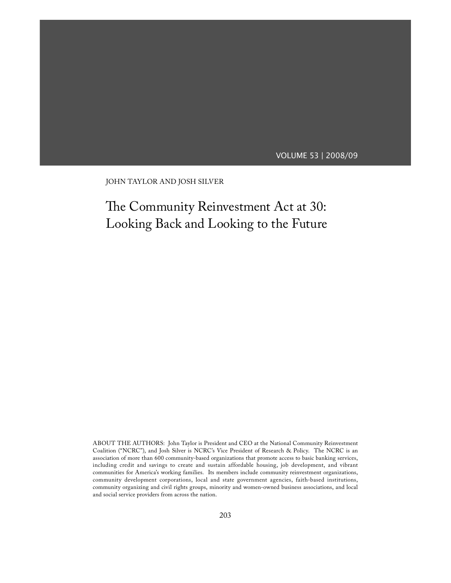# VOLUME 53 | 2008/09

JOHN TAYLOR AND JOSH SILVER

# The Community Reinvestment Act at 30: Looking Back and Looking to the Future

ABOUT THE AUTHORS: John Taylor is President and CEO at the National Community Reinvestment Coalition ("NCRC"), and Josh Silver is NCRC's Vice President of Research & Policy. The NCRC is an association of more than 600 community-based organizations that promote access to basic banking services, including credit and savings to create and sustain affordable housing, job development, and vibrant communities for America's working families. Its members include community reinvestment organizations, community development corporations, local and state government agencies, faith-based institutions, community organizing and civil rights groups, minority and women-owned business associations, and local and social service providers from across the nation.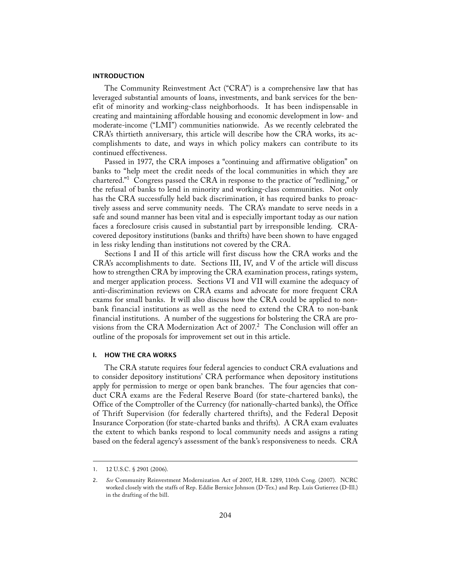## INTRODUCTION

 The Community Reinvestment Act ("CRA") is a comprehensive law that has leveraged substantial amounts of loans, investments, and bank services for the benefit of minority and working-class neighborhoods. It has been indispensable in creating and maintaining affordable housing and economic development in low- and moderate-income ("LMI") communities nationwide. As we recently celebrated the CRA's thirtieth anniversary, this article will describe how the CRA works, its accomplishments to date, and ways in which policy makers can contribute to its continued effectiveness.

 Passed in 1977, the CRA imposes a "continuing and affirmative obligation" on banks to "help meet the credit needs of the local communities in which they are chartered."1 Congress passed the CRA in response to the practice of "redlining," or the refusal of banks to lend in minority and working-class communities. Not only has the CRA successfully held back discrimination, it has required banks to proactively assess and serve community needs. The CRA's mandate to serve needs in a safe and sound manner has been vital and is especially important today as our nation faces a foreclosure crisis caused in substantial part by irresponsible lending. CRAcovered depository institutions (banks and thrifts) have been shown to have engaged in less risky lending than institutions not covered by the CRA.

 Sections I and II of this article will first discuss how the CRA works and the CRA's accomplishments to date. Sections III, IV, and V of the article will discuss how to strengthen CRA by improving the CRA examination process, ratings system, and merger application process. Sections VI and VII will examine the adequacy of anti-discrimination reviews on CRA exams and advocate for more frequent CRA exams for small banks. It will also discuss how the CRA could be applied to nonbank financial institutions as well as the need to extend the CRA to non-bank financial institutions. A number of the suggestions for bolstering the CRA are provisions from the CRA Modernization Act of 2007.<sup>2</sup> The Conclusion will offer an outline of the proposals for improvement set out in this article.

## I. HOW THE CRA WORKS

 The CRA statute requires four federal agencies to conduct CRA evaluations and to consider depository institutions' CRA performance when depository institutions apply for permission to merge or open bank branches. The four agencies that conduct CRA exams are the Federal Reserve Board (for state-chartered banks), the Office of the Comptroller of the Currency (for nationally-charted banks), the Office of Thrift Supervision (for federally chartered thrifts), and the Federal Deposit Insurance Corporation (for state-charted banks and thrifts). A CRA exam evaluates the extent to which banks respond to local community needs and assigns a rating based on the federal agency's assessment of the bank's responsiveness to needs. CRA

<sup>1. 12</sup> U.S.C. § 2901 (2006).

<sup>2.</sup> *See* Community Reinvestment Modernization Act of 2007, H.R. 1289, 110th Cong. (2007). NCRC worked closely with the staffs of Rep. Eddie Bernice Johnson (D-Tex.) and Rep. Luis Gutierrez (D-Ill.) in the drafting of the bill.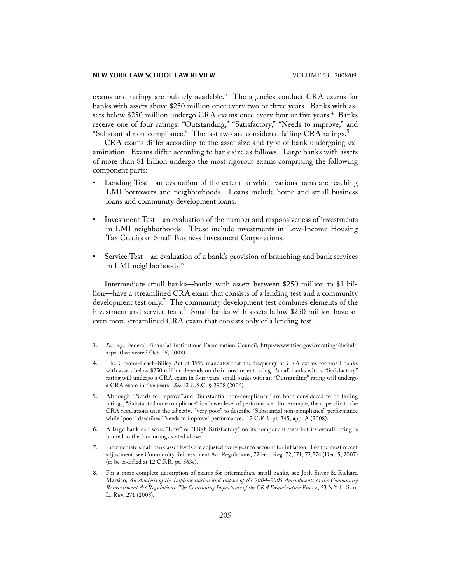exams and ratings are publicly available. $^3$  The agencies conduct CRA exams for banks with assets above \$250 million once every two or three years. Banks with assets below \$250 million undergo CRA exams once every four or five years.<sup>4</sup> Banks receive one of four ratings: "Outstanding," "Satisfactory," "Needs to improve," and "Substantial non-compliance." The last two are considered failing CRA ratings.<sup>5</sup>

 CRA exams differ according to the asset size and type of bank undergoing examination. Exams differ according to bank size as follows. Large banks with assets of more than \$1 billion undergo the most rigorous exams comprising the following component parts:

- Lending Test—an evaluation of the extent to which various loans are reaching LMI borrowers and neighborhoods. Loans include home and small business loans and community development loans.
- Investment Test—an evaluation of the number and responsiveness of investments in LMI neighborhoods. These include investments in Low-Income Housing Tax Credits or Small Business Investment Corporations.
- Service Test—an evaluation of a bank's provision of branching and bank services in LMI neighborhoods.<sup>6</sup>

 Intermediate small banks—banks with assets between \$250 million to \$1 billion—have a streamlined CRA exam that consists of a lending test and a community development test only.<sup>7</sup> The community development test combines elements of the investment and service tests.<sup>8</sup> Small banks with assets below \$250 million have an even more streamlined CRA exam that consists only of a lending test.

- 5. Although "Needs to improve'"and "Substantial non-compliance" are both considered to be failing ratings, "Substantial non-compliance" is a lower level of performance. For example, the appendix to the CRA regulations uses the adjective "very poor" to describe "Substantial non-compliance" performance while "poor" describes "Needs to improve" performance. 12 C.F.R. pt. 345, app. A (2008).
- 6. A large bank can score "Low" or "High Satisfactory" on its component tests but its overall rating is limited to the four ratings stated above.
- 7. Intermediate small bank asset levels are adjusted every year to account for inflation. For the most recent adjustment, see Community Reinvestment Act Regulations, 72 Fed. Reg. 72,571, 72,574 (Dec. 5, 2007) (to be codified at 12 C.F.R. pt. 563e).
- 8. For a more complete description of exams for intermediate small banks, see Josh Silver & Richard Marsico, *An Analysis of the Implementation and Impact of the 2004–2005 Amendments to the Community Reinvestment Act Regulations: The Continuing Importance of the CRA Examination Process*, 53 N.Y.L. Sch. L. Rev. 271 (2008).

<sup>3.</sup> *See, e.g.*, Federal Financial Institutions Examination Council, http://www.ffiec.gov/craratings/default. aspx. (last visited Oct. 25, 2008).

<sup>4.</sup> The Gramm-Leach-Bliley Act of 1999 mandates that the frequency of CRA exams for small banks with assets below \$250 million depends on their most recent rating. Small banks with a "Satisfactory" rating will undergo a CRA exam in four years; small banks with an "Outstanding" rating will undergo a CRA exam in five years. *See* 12 U.S.C. § 2908 (2006).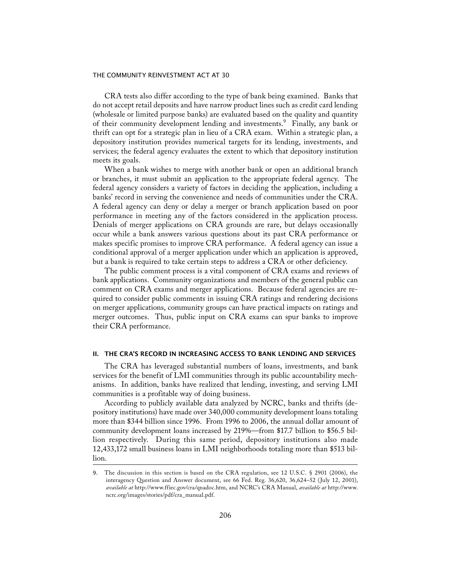CRA tests also differ according to the type of bank being examined. Banks that do not accept retail deposits and have narrow product lines such as credit card lending (wholesale or limited purpose banks) are evaluated based on the quality and quantity of their community development lending and investments.<sup>9</sup> Finally, any bank or thrift can opt for a strategic plan in lieu of a CRA exam. Within a strategic plan, a depository institution provides numerical targets for its lending, investments, and services; the federal agency evaluates the extent to which that depository institution meets its goals.

 When a bank wishes to merge with another bank or open an additional branch or branches, it must submit an application to the appropriate federal agency. The federal agency considers a variety of factors in deciding the application, including a banks' record in serving the convenience and needs of communities under the CRA. A federal agency can deny or delay a merger or branch application based on poor performance in meeting any of the factors considered in the application process. Denials of merger applications on CRA grounds are rare, but delays occasionally occur while a bank answers various questions about its past CRA performance or makes specific promises to improve CRA performance. A federal agency can issue a conditional approval of a merger application under which an application is approved, but a bank is required to take certain steps to address a CRA or other deficiency.

 The public comment process is a vital component of CRA exams and reviews of bank applications. Community organizations and members of the general public can comment on CRA exams and merger applications. Because federal agencies are required to consider public comments in issuing CRA ratings and rendering decisions on merger applications, community groups can have practical impacts on ratings and merger outcomes. Thus, public input on CRA exams can spur banks to improve their CRA performance.

## II. THE CRA'S RECORD IN INCREASING ACCESS TO BANK LENDING AND SERVICES

 The CRA has leveraged substantial numbers of loans, investments, and bank services for the benefit of LMI communities through its public accountability mechanisms. In addition, banks have realized that lending, investing, and serving LMI communities is a profitable way of doing business.

 According to publicly available data analyzed by NCRC, banks and thrifts (depository institutions) have made over 340,000 community development loans totaling more than \$344 billion since 1996. From 1996 to 2006, the annual dollar amount of community development loans increased by 219%—from \$17.7 billion to \$56.5 billion respectively. During this same period, depository institutions also made 12,433,172 small business loans in LMI neighborhoods totaling more than \$513 billion.

<sup>9.</sup> The discussion in this section is based on the CRA regulation, see 12 U.S.C. § 2901 (2006), the interagency Question and Answer document, see 66 Fed. Reg. 36,620, 36,624–52 (July 12, 2001), *available at* http://www.ffiec.gov/cra/qnadoc.htm, and NCRC's CRA Manual, *available at* http://www. ncrc.org/images/stories/pdf/cra\_manual.pdf.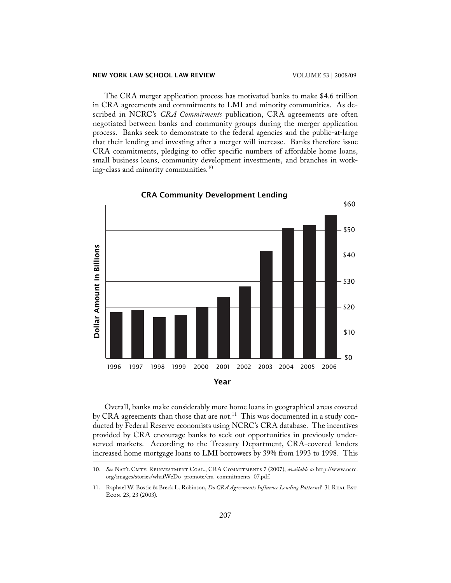The CRA merger application process has motivated banks to make \$4.6 trillion in CRA agreements and commitments to LMI and minority communities. As described in NCRC's *CRA Commitments* publication, CRA agreements are often negotiated between banks and community groups during the merger application process. Banks seek to demonstrate to the federal agencies and the public-at-large that their lending and investing after a merger will increase. Banks therefore issue CRA commitments, pledging to offer specific numbers of affordable home loans, small business loans, community development investments, and branches in working-class and minority communities.10



 Overall, banks make considerably more home loans in geographical areas covered by CRA agreements than those that are not.<sup>11</sup> This was documented in a study conducted by Federal Reserve economists using NCRC's CRA database. The incentives provided by CRA encourage banks to seek out opportunities in previously underserved markets. According to the Treasury Department, CRA-covered lenders increased home mortgage loans to LMI borrowers by 39% from 1993 to 1998. This

<sup>10.</sup> *See* Nat'l Cmty. Reinvestment Coal., CRA Commitments 7 (2007), *available at* http://www.ncrc. org/images/stories/whatWeDo\_promote/cra\_commitments\_07.pdf.

<sup>11.</sup> Raphael W. Bostic & Breck L. Robinson, *Do CRA Agreements Influence Lending Patterns?* 31 REAL Est. Econ. 23, 23 (2003).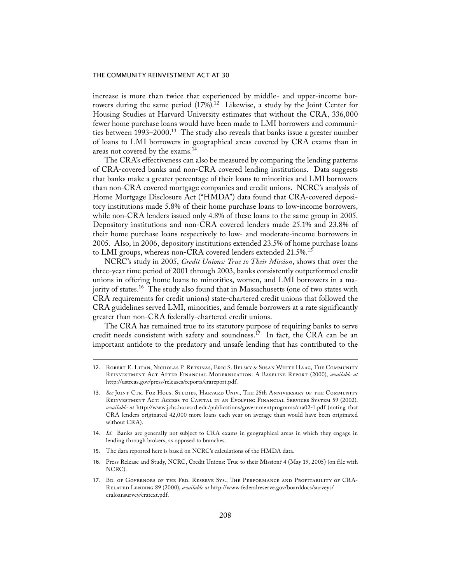increase is more than twice that experienced by middle- and upper-income borrowers during the same period  $(17%)$ .<sup>12</sup> Likewise, a study by the Joint Center for Housing Studies at Harvard University estimates that without the CRA, 336,000 fewer home purchase loans would have been made to LMI borrowers and communities between  $1993-2000$ <sup>13</sup> The study also reveals that banks issue a greater number of loans to LMI borrowers in geographical areas covered by CRA exams than in areas not covered by the exams.14

 The CRA's effectiveness can also be measured by comparing the lending patterns of CRA-covered banks and non-CRA covered lending institutions. Data suggests that banks make a greater percentage of their loans to minorities and LMI borrowers than non-CRA covered mortgage companies and credit unions. NCRC's analysis of Home Mortgage Disclosure Act ("HMDA") data found that CRA-covered depository institutions made 5.8% of their home purchase loans to low-income borrowers, while non-CRA lenders issued only 4.8% of these loans to the same group in 2005. Depository institutions and non-CRA covered lenders made 25.1% and 23.8% of their home purchase loans respectively to low- and moderate-income borrowers in 2005. Also, in 2006, depository institutions extended 23.5% of home purchase loans to LMI groups, whereas non-CRA covered lenders extended 21.5%.<sup>15</sup>

 NCRC's study in 2005, *Credit Unions: True to Their Mission*, shows that over the three-year time period of 2001 through 2003, banks consistently outperformed credit unions in offering home loans to minorities, women, and LMI borrowers in a majority of states.<sup>16</sup> The study also found that in Massachusetts (one of two states with CRA requirements for credit unions) state-chartered credit unions that followed the CRA guidelines served LMI, minorities, and female borrowers at a rate significantly greater than non-CRA federally-chartered credit unions.

 The CRA has remained true to its statutory purpose of requiring banks to serve credit needs consistent with safety and soundness.<sup>17</sup> In fact, the CRA can be an important antidote to the predatory and unsafe lending that has contributed to the

- 14. *Id.* Banks are generally not subject to CRA exams in geographical areas in which they engage in lending through brokers, as opposed to branches.
- 15. The data reported here is based on NCRC's calculations of the HMDA data.
- 16. Press Release and Study, NCRC, Credit Unions: True to their Mission? 4 (May 19, 2005) (on file with NCRC).

<sup>12.</sup> Robert E. Litan, Nicholas P. Retsinas, Eric S. Belsky & Susan White Haag, The Community Reinvestment Act After Financial Modernization: A Baseline Report (2000), *available at* http://ustreas.gov/press/releases/reports/crareport.pdf.

<sup>13.</sup> See JOINT CTR. FOR HOUS. STUDIES, HARVARD UNIV., THE 25th ANNIVERSARY OF THE COMMUNITY Reinvestment Act: Access to Capital in an Evolving Financial Services System 59 (2002), *available at* http://www.jchs.harvard.edu/publications/governmentprograms/cra02-1.pdf (noting that CRA lenders originated 42,000 more loans each year on average than would have been originated without CRA).

<sup>17.</sup> Bd. of Governors of the Fed. Reserve Sys., The Performance and Profitability of CRA-Related Lending 89 (2000), *available at* http://www.federalreserve.gov/boarddocs/surveys/ craloansurvey/cratext.pdf.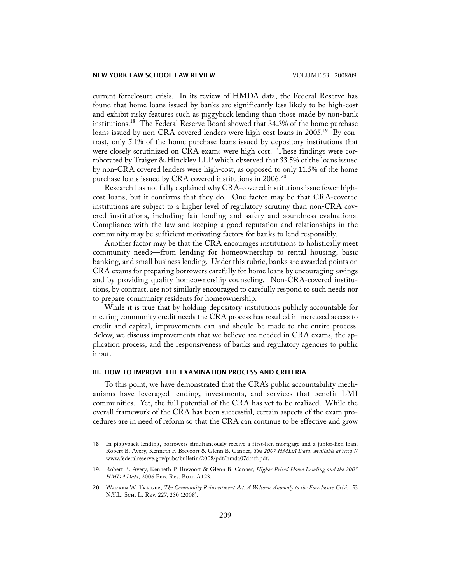current foreclosure crisis. In its review of HMDA data, the Federal Reserve has found that home loans issued by banks are significantly less likely to be high-cost and exhibit risky features such as piggyback lending than those made by non-bank institutions.<sup>18</sup> The Federal Reserve Board showed that 34.3% of the home purchase loans issued by non-CRA covered lenders were high cost loans in 2005.<sup>19</sup> By contrast, only 5.1% of the home purchase loans issued by depository institutions that were closely scrutinized on CRA exams were high cost. These findings were corroborated by Traiger & Hinckley LLP which observed that 33.5% of the loans issued by non-CRA covered lenders were high-cost, as opposed to only 11.5% of the home purchase loans issued by CRA covered institutions in  $2006<sup>20</sup>$ 

 Research has not fully explained why CRA-covered institutions issue fewer highcost loans, but it confirms that they do. One factor may be that CRA-covered institutions are subject to a higher level of regulatory scrutiny than non-CRA covered institutions, including fair lending and safety and soundness evaluations. Compliance with the law and keeping a good reputation and relationships in the community may be sufficient motivating factors for banks to lend responsibly.

 Another factor may be that the CRA encourages institutions to holistically meet community needs—from lending for homeownership to rental housing, basic banking, and small business lending. Under this rubric, banks are awarded points on CRA exams for preparing borrowers carefully for home loans by encouraging savings and by providing quality homeownership counseling. Non-CRA-covered institutions, by contrast, are not similarly encouraged to carefully respond to such needs nor to prepare community residents for homeownership.

 While it is true that by holding depository institutions publicly accountable for meeting community credit needs the CRA process has resulted in increased access to credit and capital, improvements can and should be made to the entire process. Below, we discuss improvements that we believe are needed in CRA exams, the application process, and the responsiveness of banks and regulatory agencies to public input.

## III. HOW TO IMPROVE THE EXAMINATION PROCESS AND CRITERIA

 To this point, we have demonstrated that the CRA's public accountability mechanisms have leveraged lending, investments, and services that benefit LMI communities. Yet, the full potential of the CRA has yet to be realized.While the overall framework of the CRA has been successful, certain aspects of the exam procedures are in need of reform so that the CRA can continue to be effective and grow

<sup>18.</sup> In piggyback lending, borrowers simultaneously receive a first-lien mortgage and a junior-lien loan. Robert B. Avery, Kenneth P. Brevoort & Glenn B. Canner, *The 2007 HMDA Data*, *available at* http:// www.federalreserve.gov/pubs/bulletin/2008/pdf/hmda07draft.pdf.

<sup>19.</sup> Robert B. Avery, Kenneth P. Brevoort & Glenn B. Canner, *Higher Priced Home Lending and the 2005 HMDA Data,* 2006 Fed. Res. Bull A123.

<sup>20.</sup> Warren W. Traiger, *The Community Reinvestment Act: A Welcome Anomaly to the Foreclosure Crisis*, 53 N.Y.L. Sch. L. Rev. 227, 230 (2008).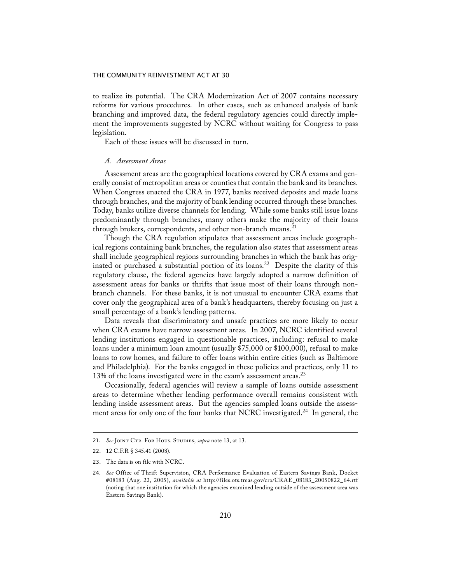to realize its potential. The CRA Modernization Act of 2007 contains necessary reforms for various procedures. In other cases, such as enhanced analysis of bank branching and improved data, the federal regulatory agencies could directly implement the improvements suggested by NCRC without waiting for Congress to pass legislation.

Each of these issues will be discussed in turn.

## *A. Assessment Areas*

 Assessment areas are the geographical locations covered by CRA exams and generally consist of metropolitan areas or counties that contain the bank and its branches. When Congress enacted the CRA in 1977, banks received deposits and made loans through branches, and the majority of bank lending occurred through these branches. Today, banks utilize diverse channels for lending. While some banks still issue loans predominantly through branches, many others make the majority of their loans through brokers, correspondents, and other non-branch means.<sup>21</sup>

 Though the CRA regulation stipulates that assessment areas include geographical regions containing bank branches, the regulation also states that assessment areas shall include geographical regions surrounding branches in which the bank has originated or purchased a substantial portion of its loans.<sup>22</sup> Despite the clarity of this regulatory clause, the federal agencies have largely adopted a narrow definition of assessment areas for banks or thrifts that issue most of their loans through nonbranch channels. For these banks, it is not unusual to encounter CRA exams that cover only the geographical area of a bank's headquarters, thereby focusing on just a small percentage of a bank's lending patterns.

 Data reveals that discriminatory and unsafe practices are more likely to occur when CRA exams have narrow assessment areas. In 2007, NCRC identified several lending institutions engaged in questionable practices, including: refusal to make loans under a minimum loan amount (usually \$75,000 or \$100,000), refusal to make loans to row homes, and failure to offer loans within entire cities (such as Baltimore and Philadelphia). For the banks engaged in these policies and practices, only 11 to 13% of the loans investigated were in the exam's assessment areas.<sup>23</sup>

 Occasionally, federal agencies will review a sample of loans outside assessment areas to determine whether lending performance overall remains consistent with lending inside assessment areas. But the agencies sampled loans outside the assessment areas for only one of the four banks that NCRC investigated.<sup>24</sup> In general, the

<sup>21.</sup> *See* Joint Ctr. For Hous. Studies, *supra* note 13, at 13.

<sup>22.</sup> 12 C.F.R § 345.41 (2008).

<sup>23.</sup> The data is on file with NCRC.

<sup>24.</sup> *See* Office of Thrift Supervision, CRA Performance Evaluation of Eastern Savings Bank, Docket #08183 (Aug. 22, 2005), *available at* http://files.ots.treas.gov/cra/CRAE\_08183\_20050822\_64.rtf (noting that one institution for which the agencies examined lending outside of the assessment area was Eastern Savings Bank).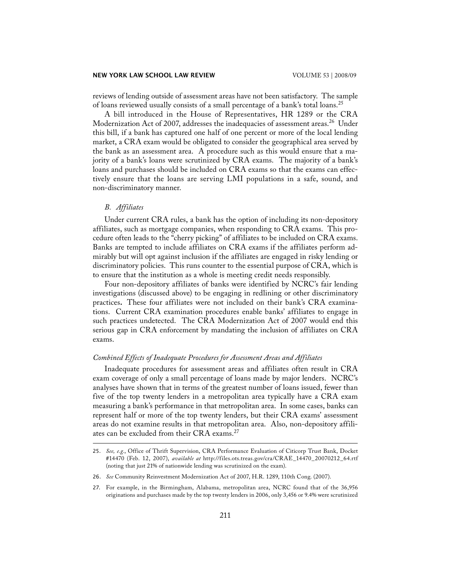reviews of lending outside of assessment areas have not been satisfactory. The sample of loans reviewed usually consists of a small percentage of a bank's total loans.<sup>25</sup>

 A bill introduced in the House of Representatives, HR 1289 or the CRA Modernization Act of 2007, addresses the inadequacies of assessment areas.<sup>26</sup> Under this bill, if a bank has captured one half of one percent or more of the local lending market, a CRA exam would be obligated to consider the geographical area served by the bank as an assessment area. A procedure such as this would ensure that a majority of a bank's loans were scrutinized by CRA exams. The majority of a bank's loans and purchases should be included on CRA exams so that the exams can effectively ensure that the loans are serving LMI populations in a safe, sound, and non-discriminatory manner.

## *B. Affiliates*

 Under current CRA rules, a bank has the option of including its non-depository affiliates, such as mortgage companies, when responding to CRA exams. This procedure often leads to the "cherry picking" of affiliates to be included on CRA exams. Banks are tempted to include affiliates on CRA exams if the affiliates perform admirably but will opt against inclusion if the affiliates are engaged in risky lending or discriminatory policies. This runs counter to the essential purpose of CRA, which is to ensure that the institution as a whole is meeting credit needs responsibly.

 Four non-depository affiliates of banks were identified by NCRC's fair lending investigations (discussed above) to be engaging in redlining or other discriminatory practices**.** These four affiliates were not included on their bank's CRA examinations. Current CRA examination procedures enable banks' affiliates to engage in such practices undetected. The CRA Modernization Act of 2007 would end this serious gap in CRA enforcement by mandating the inclusion of affiliates on CRA exams.

## *Combined Effects of Inadequate Procedures for Assessment Areas and Affiliates*

 Inadequate procedures for assessment areas and affiliates often result in CRA exam coverage of only a small percentage of loans made by major lenders. NCRC's analyses have shown that in terms of the greatest number of loans issued, fewer than five of the top twenty lenders in a metropolitan area typically have a CRA exam measuring a bank's performance in that metropolitan area. In some cases, banks can represent half or more of the top twenty lenders, but their CRA exams' assessment areas do not examine results in that metropolitan area. Also, non-depository affiliates can be excluded from their CRA exams.<sup>27</sup>

<sup>25.</sup> *See, e.g.*, Office of Thrift Supervision, CRA Performance Evaluation of Citicorp Trust Bank, Docket #14470 (Feb. 12, 2007), *available at* http://files.ots.treas.gov/cra/CRAE\_14470\_20070212\_64.rtf (noting that just 21% of nationwide lending was scrutinized on the exam).

<sup>26.</sup> *See* Community Reinvestment Modernization Act of 2007, H.R. 1289, 110th Cong. (2007).

<sup>27.</sup> For example, in the Birmingham, Alabama, metropolitan area, NCRC found that of the 36,956 originations and purchases made by the top twenty lenders in 2006, only 3,456 or 9.4% were scrutinized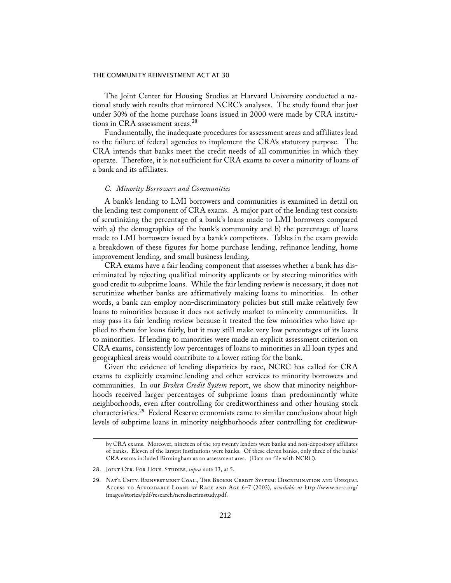The Joint Center for Housing Studies at Harvard University conducted a national study with results that mirrored NCRC's analyses. The study found that just under 30% of the home purchase loans issued in 2000 were made by CRA institutions in CRA assessment areas.<sup>28</sup>

 Fundamentally, the inadequate procedures for assessment areas and affiliates lead to the failure of federal agencies to implement the CRA's statutory purpose. The CRA intends that banks meet the credit needs of all communities in which they operate. Therefore, it is not sufficient for CRA exams to cover a minority of loans of a bank and its affiliates.

## *C. Minority Borrowers and Communities*

 A bank's lending to LMI borrowers and communities is examined in detail on the lending test component of CRA exams. A major part of the lending test consists of scrutinizing the percentage of a bank's loans made to LMI borrowers compared with a) the demographics of the bank's community and b) the percentage of loans made to LMI borrowers issued by a bank's competitors. Tables in the exam provide a breakdown of these figures for home purchase lending, refinance lending, home improvement lending, and small business lending.

 CRA exams have a fair lending component that assesses whether a bank has discriminated by rejecting qualified minority applicants or by steering minorities with good credit to subprime loans. While the fair lending review is necessary, it does not scrutinize whether banks are affirmatively making loans to minorities. In other words, a bank can employ non-discriminatory policies but still make relatively few loans to minorities because it does not actively market to minority communities. It may pass its fair lending review because it treated the few minorities who have applied to them for loans fairly, but it may still make very low percentages of its loans to minorities. If lending to minorities were made an explicit assessment criterion on CRA exams, consistently low percentages of loans to minorities in all loan types and geographical areas would contribute to a lower rating for the bank.

 Given the evidence of lending disparities by race, NCRC has called for CRA exams to explicitly examine lending and other services to minority borrowers and communities. In our *Broken Credit System* report, we show that minority neighborhoods received larger percentages of subprime loans than predominantly white neighborhoods, even after controlling for creditworthiness and other housing stock characteristics.<sup>29</sup> Federal Reserve economists came to similar conclusions about high levels of subprime loans in minority neighborhoods after controlling for creditwor-

by CRA exams. Moreover, nineteen of the top twenty lenders were banks and non-depository affiliates of banks. Eleven of the largest institutions were banks. Of these eleven banks, only three of the banks' CRA exams included Birmingham as an assessment area. (Data on file with NCRC).

<sup>28.</sup> JOINT CTR. FOR HOUS. STUDIES, *supra* note 13, at 5.

<sup>29.</sup> Nat'l Cmty. Reinvestment Coal., The Broken Credit System: Discrimination and Unequal Access to Affordable Loans by Race and Age 6–7 (2003), *available at* http://www.ncrc.org/ images/stories/pdf/research/ncrcdiscrimstudy.pdf.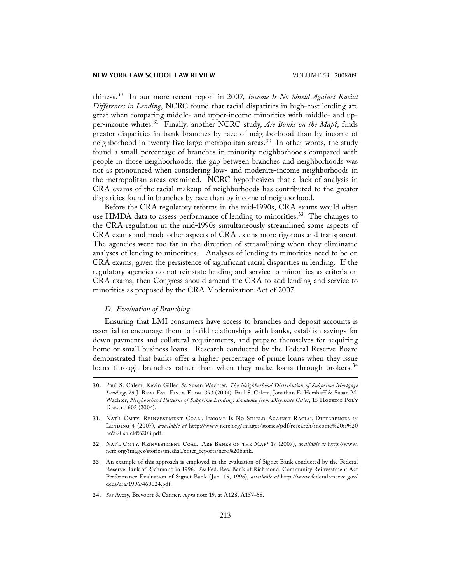thiness.30 In our more recent report in 2007, *Income Is No Shield Against Racial Differences in Lending*, NCRC found that racial disparities in high-cost lending are great when comparing middle- and upper-income minorities with middle- and upper-income whites.<sup>31</sup> Finally, another NCRC study, Are Banks on the Map?, finds greater disparities in bank branches by race of neighborhood than by income of neighborhood in twenty-five large metropolitan areas.<sup>32</sup> In other words, the study found a small percentage of branches in minority neighborhoods compared with people in those neighborhoods; the gap between branches and neighborhoods was not as pronounced when considering low- and moderate-income neighborhoods in the metropolitan areas examined. NCRC hypothesizes that a lack of analysis in CRA exams of the racial makeup of neighborhoods has contributed to the greater disparities found in branches by race than by income of neighborhood.

 Before the CRA regulatory reforms in the mid-1990s, CRA exams would often use HMDA data to assess performance of lending to minorities.<sup>33</sup> The changes to the CRA regulation in the mid-1990s simultaneously streamlined some aspects of CRA exams and made other aspects of CRA exams more rigorous and transparent. The agencies went too far in the direction of streamlining when they eliminated analyses of lending to minorities. Analyses of lending to minorities need to be on CRA exams, given the persistence of significant racial disparities in lending. If the regulatory agencies do not reinstate lending and service to minorities as criteria on CRA exams, then Congress should amend the CRA to add lending and service to minorities as proposed by the CRA Modernization Act of 2007.

## *D. Evaluation of Branching*

 Ensuring that LMI consumers have access to branches and deposit accounts is essential to encourage them to build relationships with banks, establish savings for down payments and collateral requirements, and prepare themselves for acquiring home or small business loans. Research conducted by the Federal Reserve Board demonstrated that banks offer a higher percentage of prime loans when they issue loans through branches rather than when they make loans through brokers.<sup>34</sup>

- 32. Nat'l Cmty. Reinvestment Coal., Are Banks on the Map? 17 (2007), *available at* http://www. ncrc.org/images/stories/mediaCenter\_reports/ncrc%20bank.
- 33. An example of this approach is employed in the evaluation of Signet Bank conducted by the Federal Reserve Bank of Richmond in 1996. *See* Fed. Res. Bank of Richmond, Community Reinvestment Act Performance Evaluation of Signet Bank (Jan. 15, 1996), *available at* http://www.federalreserve.gov/ dcca/cra/1996/460024.pdf.
- 34. *See* Avery, Brevoort & Canner, *supra* note 19, at A128, A157–58.

<sup>30.</sup> Paul S. Calem, Kevin Gillen & Susan Wachter, *The Neighborhood Distribution of Subprime Mortgage*  Lending, 29 J. REAL Est. FIN. & ECON. 393 (2004); Paul S. Calem, Jonathan E. Hershaff & Susan M. Wachter, *Neighborhood Patterns of Subprime Lending: Evidence from Disparate Cities*, 15 Housing Pol'y Debate 603 (2004).

<sup>31.</sup> Nat'l Cmty. Reinvestment Coal., Income Is No Shield Against Racial Differences in Lending 4 (2007), *available at* http://www.ncrc.org/images/stories/pdf/research/income%20is%20 no%20shield%20ii.pdf.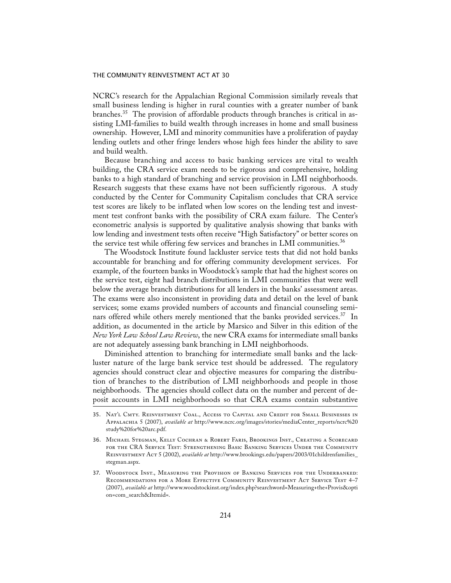NCRC's research for the Appalachian Regional Commission similarly reveals that small business lending is higher in rural counties with a greater number of bank branches.35 The provision of affordable products through branches is critical in assisting LMI-families to build wealth through increases in home and small business ownership. However, LMI and minority communities have a proliferation of payday lending outlets and other fringe lenders whose high fees hinder the ability to save and build wealth.

 Because branching and access to basic banking services are vital to wealth building, the CRA service exam needs to be rigorous and comprehensive, holding banks to a high standard of branching and service provision in LMI neighborhoods. Research suggests that these exams have not been sufficiently rigorous. A study conducted by the Center for Community Capitalism concludes that CRA service test scores are likely to be inflated when low scores on the lending test and investment test confront banks with the possibility of CRA exam failure. The Center's econometric analysis is supported by qualitative analysis showing that banks with low lending and investment tests often receive "High Satisfactory" or better scores on the service test while offering few services and branches in LMI communities.<sup>36</sup>

 The Woodstock Institute found lackluster service tests that did not hold banks accountable for branching and for offering community development services. For example, of the fourteen banks in Woodstock's sample that had the highest scores on the service test, eight had branch distributions in LMI communities that were well below the average branch distributions for all lenders in the banks' assessment areas. The exams were also inconsistent in providing data and detail on the level of bank services; some exams provided numbers of accounts and financial counseling seminars offered while others merely mentioned that the banks provided services.<sup>37</sup> In addition, as documented in the article by Marsico and Silver in this edition of the *New York Law School Law Review*, the new CRA exams for intermediate small banks are not adequately assessing bank branching in LMI neighborhoods.

 Diminished attention to branching for intermediate small banks and the lackluster nature of the large bank service test should be addressed. The regulatory agencies should construct clear and objective measures for comparing the distribution of branches to the distribution of LMI neighborhoods and people in those neighborhoods. The agencies should collect data on the number and percent of deposit accounts in LMI neighborhoods so that CRA exams contain substantive

37. Woodstock Inst., Measuring the Provision of Banking Services for the Underbanked: Recommendations for a More Effective Community Reinvestment Act Service Test 4–7 (2007), *available at* http://www.woodstockinst.org/index.php?searchword=Measuring+the+Provis&opti on=com\_search&Itemid=.

<sup>35.</sup> Nat'l Cmty. Reinvestment Coal., Access to Capital and Credit for Small Businesses in Appalachia 5 (2007), *available at* http://www.ncrc.org/images/stories/mediaCenter\_reports/ncrc%20 study%20for%20arc.pdf.

<sup>36.</sup> Michael Stegman, Kelly Cochran & Robert Faris, Brookings Inst., Creating a Scorecard for the CRA Service Test: Strengthening Basic Banking Services Under the Community Reinvestment Act 5 (2002), *available at* http://www.brookings.edu/papers/2003/01childrenfamilies\_ stegman.aspx.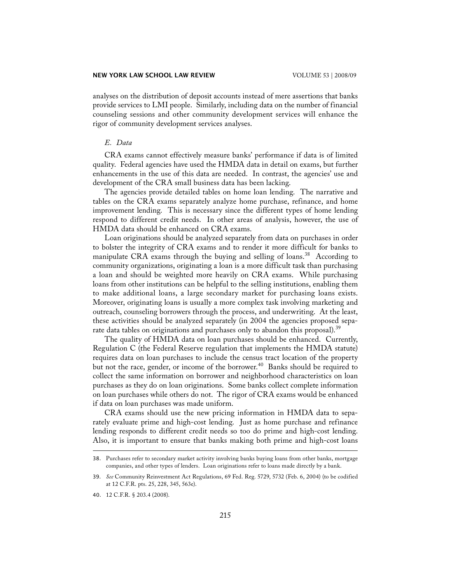analyses on the distribution of deposit accounts instead of mere assertions that banks provide services to LMI people. Similarly, including data on the number of financial counseling sessions and other community development services will enhance the rigor of community development services analyses.

## *E. Data*

 CRA exams cannot effectively measure banks' performance if data is of limited quality. Federal agencies have used the HMDA data in detail on exams, but further enhancements in the use of this data are needed. In contrast, the agencies' use and development of the CRA small business data has been lacking.

 The agencies provide detailed tables on home loan lending. The narrative and tables on the CRA exams separately analyze home purchase, refinance, and home improvement lending. This is necessary since the different types of home lending respond to different credit needs. In other areas of analysis, however, the use of HMDA data should be enhanced on CRA exams.

 Loan originations should be analyzed separately from data on purchases in order to bolster the integrity of CRA exams and to render it more difficult for banks to manipulate CRA exams through the buying and selling of loans.<sup>38</sup> According to community organizations, originating a loan is a more difficult task than purchasing a loan and should be weighted more heavily on CRA exams. While purchasing loans from other institutions can be helpful to the selling institutions, enabling them to make additional loans, a large secondary market for purchasing loans exists. Moreover, originating loans is usually a more complex task involving marketing and outreach, counseling borrowers through the process, and underwriting. At the least, these activities should be analyzed separately (in 2004 the agencies proposed separate data tables on originations and purchases only to abandon this proposal).<sup>39</sup>

 The quality of HMDA data on loan purchases should be enhanced. Currently, Regulation C (the Federal Reserve regulation that implements the HMDA statute) requires data on loan purchases to include the census tract location of the property but not the race, gender, or income of the borrower.<sup>40</sup> Banks should be required to collect the same information on borrower and neighborhood characteristics on loan purchases as they do on loan originations. Some banks collect complete information on loan purchases while others do not. The rigor of CRA exams would be enhanced if data on loan purchases was made uniform.

 CRA exams should use the new pricing information in HMDA data to separately evaluate prime and high-cost lending. Just as home purchase and refinance lending responds to different credit needs so too do prime and high-cost lending. Also, it is important to ensure that banks making both prime and high-cost loans

<sup>38.</sup> Purchases refer to secondary market activity involving banks buying loans from other banks, mortgage companies, and other types of lenders. Loan originations refer to loans made directly by a bank.

<sup>39.</sup> *See* Community Reinvestment Act Regulations, 69 Fed. Reg. 5729, 5732 (Feb. 6, 2004) (to be codified at 12 C.F.R. pts. 25, 228, 345, 563e).

<sup>40.</sup> 12 C.F.R. § 203.4 (2008).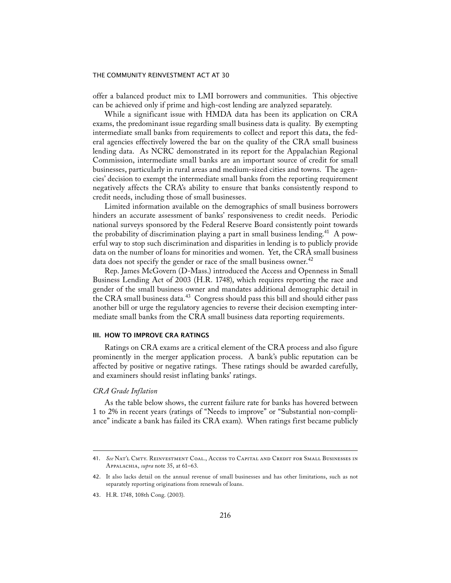offer a balanced product mix to LMI borrowers and communities. This objective can be achieved only if prime and high-cost lending are analyzed separately.

 While a significant issue with HMDA data has been its application on CRA exams, the predominant issue regarding small business data is quality. By exempting intermediate small banks from requirements to collect and report this data, the federal agencies effectively lowered the bar on the quality of the CRA small business lending data. As NCRC demonstrated in its report for the Appalachian Regional Commission, intermediate small banks are an important source of credit for small businesses, particularly in rural areas and medium-sized cities and towns. The agencies' decision to exempt the intermediate small banks from the reporting requirement negatively affects the CRA's ability to ensure that banks consistently respond to credit needs, including those of small businesses.

 Limited information available on the demographics of small business borrowers hinders an accurate assessment of banks' responsiveness to credit needs. Periodic national surveys sponsored by the Federal Reserve Board consistently point towards the probability of discrimination playing a part in small business lending.<sup>41</sup> A powerful way to stop such discrimination and disparities in lending is to publicly provide data on the number of loans for minorities and women. Yet, the CRA small business data does not specify the gender or race of the small business owner.<sup>42</sup>

 Rep. James McGovern (D-Mass.) introduced the Access and Openness in Small Business Lending Act of 2003 (H.R. 1748), which requires reporting the race and gender of the small business owner and mandates additional demographic detail in the CRA small business data.<sup>43</sup> Congress should pass this bill and should either pass another bill or urge the regulatory agencies to reverse their decision exempting intermediate small banks from the CRA small business data reporting requirements.

#### III. HOW TO IMPROVE CRA RATINGS

 Ratings on CRA exams are a critical element of the CRA process and also figure prominently in the merger application process. A bank's public reputation can be affected by positive or negative ratings. These ratings should be awarded carefully, and examiners should resist inflating banks' ratings.

#### *CRA Grade Inflation*

 As the table below shows, the current failure rate for banks has hovered between 1 to 2% in recent years (ratings of "Needs to improve" or "Substantial non-compliance" indicate a bank has failed its CRA exam). When ratings first became publicly

<sup>41.</sup> *See* Nat'l Cmty. Reinvestment Coal., Access to Capital and Credit for Small Businesses in Appalachia, *supra* note 35, at 61–63.

<sup>42.</sup> It also lacks detail on the annual revenue of small businesses and has other limitations, such as not separately reporting originations from renewals of loans.

<sup>43.</sup> H.R. 1748, 108th Cong. (2003).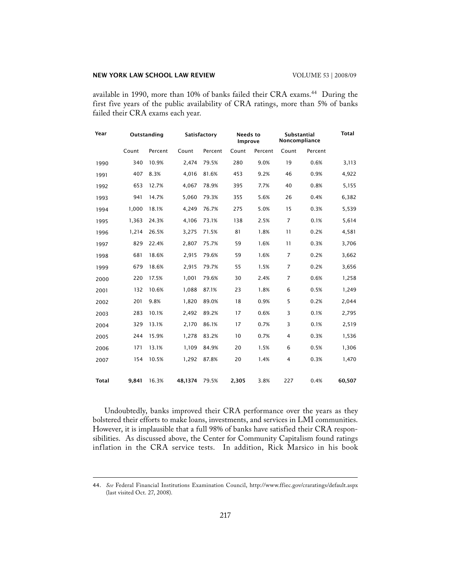available in 1990, more than 10% of banks failed their CRA exams.<sup>44</sup> During the first five years of the public availability of CRA ratings, more than 5% of banks failed their CRA exams each year.

| Year         | Outstanding |         | Satisfactory |         | <b>Needs to</b><br>Improve |         | Substantial<br>Noncompliance |         | <b>Total</b> |
|--------------|-------------|---------|--------------|---------|----------------------------|---------|------------------------------|---------|--------------|
|              | Count       | Percent | Count        | Percent | Count                      | Percent | Count                        | Percent |              |
| 1990         | 340         | 10.9%   | 2,474        | 79.5%   | 280                        | 9.0%    | 19                           | 0.6%    | 3,113        |
| 1991         | 407         | 8.3%    | 4,016        | 81.6%   | 453                        | 9.2%    | 46                           | 0.9%    | 4,922        |
| 1992         | 653         | 12.7%   | 4,067        | 78.9%   | 395                        | 7.7%    | 40                           | 0.8%    | 5,155        |
| 1993         | 941         | 14.7%   | 5,060        | 79.3%   | 355                        | 5.6%    | 26                           | 0.4%    | 6,382        |
| 1994         | 1,000       | 18.1%   | 4,249        | 76.7%   | 275                        | 5.0%    | 15                           | 0.3%    | 5,539        |
| 1995         | 1,363       | 24.3%   | 4,106        | 73.1%   | 138                        | 2.5%    | $\overline{7}$               | 0.1%    | 5,614        |
| 1996         | 1,214       | 26.5%   | 3,275        | 71.5%   | 81                         | 1.8%    | 11                           | 0.2%    | 4,581        |
| 1997         | 829         | 22.4%   | 2,807        | 75.7%   | 59                         | 1.6%    | 11                           | 0.3%    | 3,706        |
| 1998         | 681         | 18.6%   | 2,915        | 79.6%   | 59                         | 1.6%    | $\overline{7}$               | 0.2%    | 3,662        |
| 1999         | 679         | 18.6%   | 2,915        | 79.7%   | 55                         | 1.5%    | $\overline{7}$               | 0.2%    | 3,656        |
| 2000         | 220         | 17.5%   | 1,001        | 79.6%   | 30                         | 2.4%    | 7                            | 0.6%    | 1,258        |
| 2001         | 132         | 10.6%   | 1,088        | 87.1%   | 23                         | 1.8%    | 6                            | 0.5%    | 1,249        |
| 2002         | 201         | 9.8%    | 1,820        | 89.0%   | 18                         | 0.9%    | 5                            | 0.2%    | 2,044        |
| 2003         | 283         | 10.1%   | 2,492        | 89.2%   | 17                         | 0.6%    | 3                            | 0.1%    | 2,795        |
| 2004         | 329         | 13.1%   | 2,170        | 86.1%   | 17                         | 0.7%    | 3                            | 0.1%    | 2,519        |
| 2005         | 244         | 15.9%   | 1,278        | 83.2%   | 10                         | 0.7%    | $\overline{4}$               | 0.3%    | 1,536        |
| 2006         | 171         | 13.1%   | 1,109        | 84.9%   | 20                         | 1.5%    | 6                            | 0.5%    | 1,306        |
| 2007         | 154         | 10.5%   | 1,292        | 87.8%   | 20                         | 1.4%    | $\overline{4}$               | 0.3%    | 1,470        |
|              |             |         |              |         |                            |         |                              |         |              |
| <b>Total</b> | 9,841       | 16.3%   | 48,1374      | 79.5%   | 2,305                      | 3.8%    | 227                          | 0.4%    | 60,507       |

 Undoubtedly, banks improved their CRA performance over the years as they bolstered their efforts to make loans, investments, and services in LMI communities. However, it is implausible that a full 98% of banks have satisfied their CRA responsibilities. As discussed above, the Center for Community Capitalism found ratings inflation in the CRA service tests. In addition, Rick Marsico in his book

<sup>44.</sup> *See* Federal Financial Institutions Examination Council, http://www.ffiec.gov/craratings/default.aspx (last visited Oct. 27, 2008).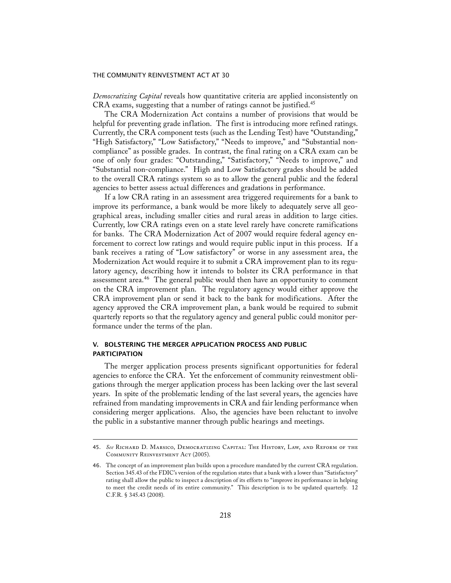*Democratizing Capital* reveals how quantitative criteria are applied inconsistently on CRA exams, suggesting that a number of ratings cannot be justified.<sup>45</sup>

 The CRA Modernization Act contains a number of provisions that would be helpful for preventing grade inflation. The first is introducing more refined ratings. Currently, the CRA component tests (such as the Lending Test) have "Outstanding," "High Satisfactory," "Low Satisfactory," "Needs to improve," and "Substantial noncompliance" as possible grades. In contrast, the final rating on a CRA exam can be one of only four grades: "Outstanding," "Satisfactory," "Needs to improve," and "Substantial non-compliance." High and Low Satisfactory grades should be added to the overall CRA ratings system so as to allow the general public and the federal agencies to better assess actual differences and gradations in performance.

 If a low CRA rating in an assessment area triggered requirements for a bank to improve its performance, a bank would be more likely to adequately serve all geographical areas, including smaller cities and rural areas in addition to large cities. Currently, low CRA ratings even on a state level rarely have concrete ramifications for banks. The CRA Modernization Act of 2007 would require federal agency enforcement to correct low ratings and would require public input in this process. If a bank receives a rating of "Low satisfactory" or worse in any assessment area, the Modernization Act would require it to submit a CRA improvement plan to its regulatory agency, describing how it intends to bolster its CRA performance in that assessment area.<sup>46</sup> The general public would then have an opportunity to comment on the CRA improvement plan. The regulatory agency would either approve the CRA improvement plan or send it back to the bank for modifications. After the agency approved the CRA improvement plan, a bank would be required to submit quarterly reports so that the regulatory agency and general public could monitor performance under the terms of the plan.

## V. BOLSTERING THE MERGER APPLICATION PROCESS AND PUBLIC PARTICIPATION

 The merger application process presents significant opportunities for federal agencies to enforce the CRA. Yet the enforcement of community reinvestment obligations through the merger application process has been lacking over the last several years. In spite of the problematic lending of the last several years, the agencies have refrained from mandating improvements in CRA and fair lending performance when considering merger applications. Also, the agencies have been reluctant to involve the public in a substantive manner through public hearings and meetings.

<sup>45.</sup> *See* Richard D. Marsico, Democratizing Capital: The History, Law, and Reform of the COMMUNITY REINVESTMENT ACT (2005).

<sup>46.</sup> The concept of an improvement plan builds upon a procedure mandated by the current CRA regulation. Section 345.43 of the FDIC's version of the regulation states that a bank with a lower than "Satisfactory" rating shall allow the public to inspect a description of its efforts to "improve its performance in helping to meet the credit needs of its entire community." This description is to be updated quarterly. 12 C.F.R. § 345.43 (2008).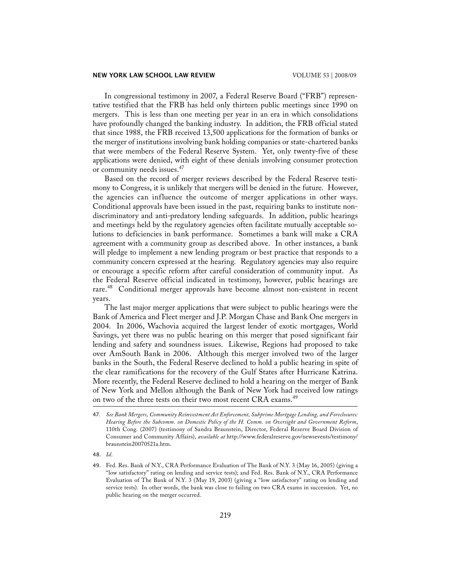In congressional testimony in 2007, a Federal Reserve Board ("FRB") representative testified that the FRB has held only thirteen public meetings since 1990 on mergers. This is less than one meeting per year in an era in which consolidations have profoundly changed the banking industry. In addition, the FRB official stated that since 1988, the FRB received 13,500 applications for the formation of banks or the merger of institutions involving bank holding companies or state-chartered banks that were members of the Federal Reserve System. Yet, only twenty-five of these applications were denied, with eight of these denials involving consumer protection or community needs issues.<sup>47</sup>

 Based on the record of merger reviews described by the Federal Reserve testimony to Congress, it is unlikely that mergers will be denied in the future. However, the agencies can influence the outcome of merger applications in other ways. Conditional approvals have been issued in the past, requiring banks to institute nondiscriminatory and anti-predatory lending safeguards. In addition, public hearings and meetings held by the regulatory agencies often facilitate mutually acceptable solutions to deficiencies in bank performance. Sometimes a bank will make a CRA agreement with a community group as described above. In other instances, a bank will pledge to implement a new lending program or best practice that responds to a community concern expressed at the hearing. Regulatory agencies may also require or encourage a specific reform after careful consideration of community input. As the Federal Reserve official indicated in testimony, however, public hearings are rare.<sup>48</sup> Conditional merger approvals have become almost non-existent in recent years.

 The last major merger applications that were subject to public hearings were the Bank of America and Fleet merger and J.P. Morgan Chase and Bank One mergers in 2004. In 2006, Wachovia acquired the largest lender of exotic mortgages, World Savings, yet there was no public hearing on this merger that posed significant fair lending and safety and soundness issues. Likewise, Regions had proposed to take over AmSouth Bank in 2006. Although this merger involved two of the larger banks in the South, the Federal Reserve declined to hold a public hearing in spite of the clear ramifications for the recovery of the Gulf States after Hurricane Katrina. More recently, the Federal Reserve declined to hold a hearing on the merger of Bank of New York and Mellon although the Bank of New York had received low ratings on two of the three tests on their two most recent CRA exams.<sup>49</sup>

<sup>47.</sup> *See Bank Mergers, Community Reinvestment Act Enforcement, Subprime Mortgage Lending, and Foreclosures: Hearing Before the Subcomm. on Domestic Policy of the H. Comm. on Oversight and Government Reform*, 110th Cong. (2007) (testimony of Sandra Braunstein, Director, Federal Reserve Board Division of Consumer and Community Affairs), *available at* http://www.federalreserve.gov/newsevents/testimony/ braunstein20070521a.htm.

<sup>48.</sup> *Id*.

<sup>49.</sup> Fed. Res. Bank of N.Y., CRA Performance Evaluation of The Bank of N.Y. 3 (May 16, 2005) (giving a "low satisfactory" rating on lending and service tests); and Fed. Res. Bank of N.Y., CRA Performance Evaluation of The Bank of N.Y. 3 (May 19, 2003) (giving a "low satisfactory" rating on lending and service tests). In other words, the bank was close to failing on two CRA exams in succession. Yet, no public hearing on the merger occurred.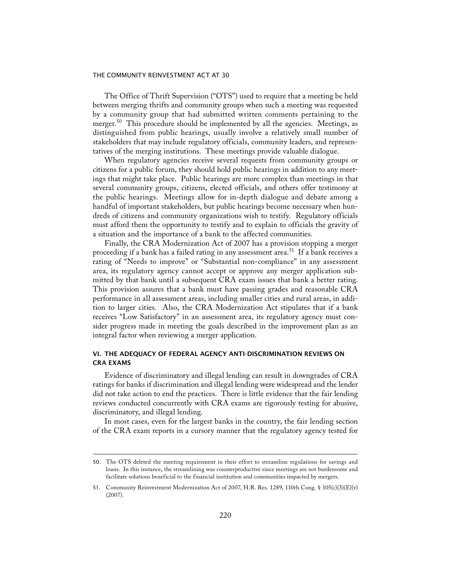The Office of Thrift Supervision ("OTS") used to require that a meeting be held between merging thrifts and community groups when such a meeting was requested by a community group that had submitted written comments pertaining to the merger.<sup>50</sup> This procedure should be implemented by all the agencies. Meetings, as distinguished from public hearings, usually involve a relatively small number of stakeholders that may include regulatory officials, community leaders, and representatives of the merging institutions. These meetings provide valuable dialogue.

 When regulatory agencies receive several requests from community groups or citizens for a public forum, they should hold public hearings in addition to any meetings that might take place. Public hearings are more complex than meetings in that several community groups, citizens, elected officials, and others offer testimony at the public hearings. Meetings allow for in-depth dialogue and debate among a handful of important stakeholders, but public hearings become necessary when hundreds of citizens and community organizations wish to testify. Regulatory officials must afford them the opportunity to testify and to explain to officials the gravity of a situation and the importance of a bank to the affected communities.

 Finally, the CRA Modernization Act of 2007 has a provision stopping a merger proceeding if a bank has a failed rating in any assessment area.<sup>51</sup> If a bank receives a rating of "Needs to improve" or "Substantial non-compliance" in any assessment area, its regulatory agency cannot accept or approve any merger application submitted by that bank until a subsequent CRA exam issues that bank a better rating. This provision assures that a bank must have passing grades and reasonable CRA performance in all assessment areas, including smaller cities and rural areas, in addition to larger cities. Also, the CRA Modernization Act stipulates that if a bank receives "Low Satisfactory" in an assessment area, its regulatory agency must consider progress made in meeting the goals described in the improvement plan as an integral factor when reviewing a merger application.

# VI. THE ADEQUACY OF FEDERAL AGENCY ANTI-DISCRIMINATION REVIEWS ON CRA EXAMS

 Evidence of discriminatory and illegal lending can result in downgrades of CRA ratings for banks if discrimination and illegal lending were widespread and the lender did not take action to end the practices. There is little evidence that the fair lending reviews conducted concurrently with CRA exams are rigorously testing for abusive, discriminatory, and illegal lending.

 In most cases, even for the largest banks in the country, the fair lending section of the CRA exam reports in a cursory manner that the regulatory agency tested for

<sup>50.</sup> The OTS deleted the meeting requirement in their effort to streamline regulations for savings and loans. In this instance, the streamlining was counterproductive since meetings are not burdensome and facilitate solutions beneficial to the financial institution and communities impacted by mergers.

<sup>51.</sup> Community Reinvestment Modernization Act of 2007, H.R. Res. 1289, 110th Cong. § 105(c)(3)(E)(v) (2007).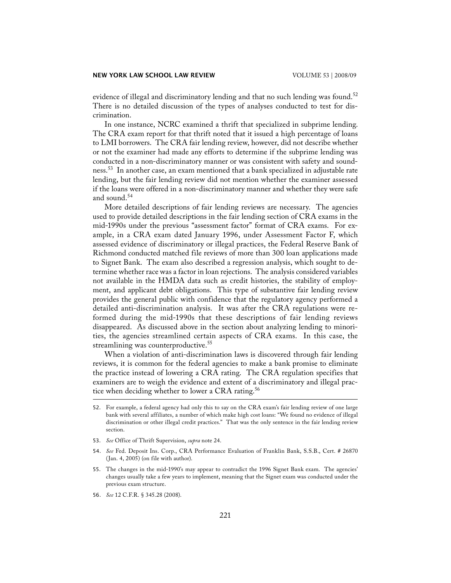evidence of illegal and discriminatory lending and that no such lending was found.<sup>52</sup> There is no detailed discussion of the types of analyses conducted to test for discrimination.

 In one instance, NCRC examined a thrift that specialized in subprime lending. The CRA exam report for that thrift noted that it issued a high percentage of loans to LMI borrowers. The CRA fair lending review, however, did not describe whether or not the examiner had made any efforts to determine if the subprime lending was conducted in a non-discriminatory manner or was consistent with safety and soundness.<sup>53</sup> In another case, an exam mentioned that a bank specialized in adjustable rate lending, but the fair lending review did not mention whether the examiner assessed if the loans were offered in a non-discriminatory manner and whether they were safe and sound.<sup>54</sup>

 More detailed descriptions of fair lending reviews are necessary. The agencies used to provide detailed descriptions in the fair lending section of CRA exams in the mid-1990s under the previous "assessment factor" format of CRA exams. For example, in a CRA exam dated January 1996, under Assessment Factor F, which assessed evidence of discriminatory or illegal practices, the Federal Reserve Bank of Richmond conducted matched file reviews of more than 300 loan applications made to Signet Bank. The exam also described a regression analysis, which sought to determine whether race was a factor in loan rejections. The analysis considered variables not available in the HMDA data such as credit histories, the stability of employment, and applicant debt obligations. This type of substantive fair lending review provides the general public with confidence that the regulatory agency performed a detailed anti-discrimination analysis. It was after the CRA regulations were reformed during the mid-1990s that these descriptions of fair lending reviews disappeared. As discussed above in the section about analyzing lending to minorities, the agencies streamlined certain aspects of CRA exams. In this case, the streamlining was counterproductive.<sup>55</sup>

 When a violation of anti-discrimination laws is discovered through fair lending reviews, it is common for the federal agencies to make a bank promise to eliminate the practice instead of lowering a CRA rating. The CRA regulation specifies that examiners are to weigh the evidence and extent of a discriminatory and illegal practice when deciding whether to lower a CRA rating.<sup>56</sup>

- 53. *See* Office of Thrift Supervision, *supra* note 24.
- 54. *See* Fed. Deposit Ins. Corp., CRA Performance Evaluation of Franklin Bank, S.S.B., Cert. # 26870 (Jan. 4, 2005) (on file with author).
- 55. The changes in the mid-1990's may appear to contradict the 1996 Signet Bank exam. The agencies' changes usually take a few years to implement, meaning that the Signet exam was conducted under the previous exam structure.
- 56. *See* 12 C.F.R. § 345.28 (2008).

<sup>52.</sup> For example, a federal agency had only this to say on the CRA exam's fair lending review of one large bank with several affiliates, a number of which make high cost loans: "We found no evidence of illegal discrimination or other illegal credit practices." That was the only sentence in the fair lending review section.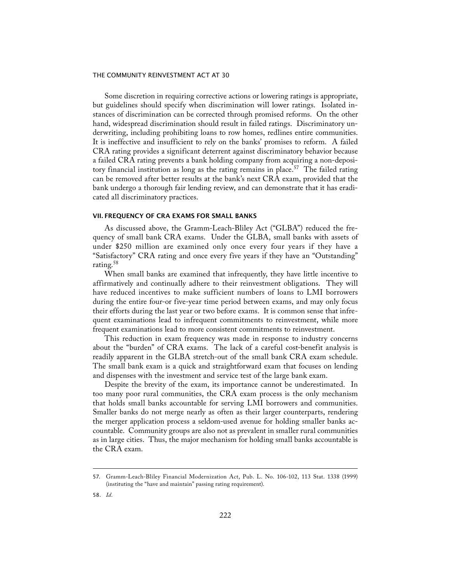Some discretion in requiring corrective actions or lowering ratings is appropriate, but guidelines should specify when discrimination will lower ratings. Isolated instances of discrimination can be corrected through promised reforms. On the other hand, widespread discrimination should result in failed ratings. Discriminatory underwriting, including prohibiting loans to row homes, redlines entire communities. It is ineffective and insufficient to rely on the banks' promises to reform. A failed CRA rating provides a significant deterrent against discriminatory behavior because a failed CRA rating prevents a bank holding company from acquiring a non-depository financial institution as long as the rating remains in place.<sup>57</sup> The failed rating can be removed after better results at the bank's next CRA exam, provided that the bank undergo a thorough fair lending review, and can demonstrate that it has eradicated all discriminatory practices.

#### VII. FREQUENCY OF CRA EXAMS FOR SMALL BANKS

 As discussed above, the Gramm-Leach-Bliley Act ("GLBA") reduced the frequency of small bank CRA exams. Under the GLBA, small banks with assets of under \$250 million are examined only once every four years if they have a "Satisfactory" CRA rating and once every five years if they have an "Outstanding" rating.<sup>58</sup>

 When small banks are examined that infrequently, they have little incentive to affirmatively and continually adhere to their reinvestment obligations. They will have reduced incentives to make sufficient numbers of loans to LMI borrowers during the entire four-or five-year time period between exams, and may only focus their efforts during the last year or two before exams. It is common sense that infrequent examinations lead to infrequent commitments to reinvestment, while more frequent examinations lead to more consistent commitments to reinvestment.

 This reduction in exam frequency was made in response to industry concerns about the "burden" of CRA exams. The lack of a careful cost-benefit analysis is readily apparent in the GLBA stretch-out of the small bank CRA exam schedule. The small bank exam is a quick and straightforward exam that focuses on lending and dispenses with the investment and service test of the large bank exam.

 Despite the brevity of the exam, its importance cannot be underestimated. In too many poor rural communities, the CRA exam process is the only mechanism that holds small banks accountable for serving LMI borrowers and communities. Smaller banks do not merge nearly as often as their larger counterparts, rendering the merger application process a seldom-used avenue for holding smaller banks accountable. Community groups are also not as prevalent in smaller rural communities as in large cities. Thus, the major mechanism for holding small banks accountable is the CRA exam.

<sup>57.</sup> Gramm-Leach-Bliley Financial Modernization Act, Pub. L. No. 106-102, 113 Stat. 1338 (1999) (instituting the "have and maintain" passing rating requirement).

<sup>58.</sup> *Id*.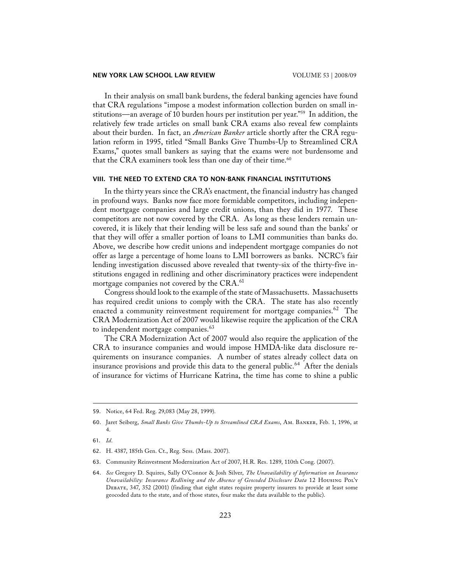In their analysis on small bank burdens, the federal banking agencies have found that CRA regulations "impose a modest information collection burden on small institutions—an average of 10 burden hours per institution per year."59 In addition, the relatively few trade articles on small bank CRA exams also reveal few complaints about their burden. In fact, an *American Banker* article shortly after the CRA regulation reform in 1995, titled "Small Banks Give Thumbs-Up to Streamlined CRA Exams," quotes small bankers as saying that the exams were not burdensome and that the CRA examiners took less than one day of their time. $60$ 

## VIII. THE NEED TO EXTEND CRA TO NON-BANK FINANCIAL INSTITUTIONS

 In the thirty years since the CRA's enactment, the financial industry has changed in profound ways. Banks now face more formidable competitors, including independent mortgage companies and large credit unions, than they did in 1977. These competitors are not now covered by the CRA. As long as these lenders remain uncovered, it is likely that their lending will be less safe and sound than the banks' or that they will offer a smaller portion of loans to LMI communities than banks do. Above, we describe how credit unions and independent mortgage companies do not offer as large a percentage of home loans to LMI borrowers as banks. NCRC's fair lending investigation discussed above revealed that twenty-six of the thirty-five institutions engaged in redlining and other discriminatory practices were independent mortgage companies not covered by the CRA.<sup>61</sup>

 Congress should look to the example of the state of Massachusetts. Massachusetts has required credit unions to comply with the CRA. The state has also recently enacted a community reinvestment requirement for mortgage companies.<sup>62</sup> The CRA Modernization Act of 2007 would likewise require the application of the CRA to independent mortgage companies.<sup>63</sup>

 The CRA Modernization Act of 2007 would also require the application of the CRA to insurance companies and would impose HMDA-like data disclosure requirements on insurance companies. A number of states already collect data on insurance provisions and provide this data to the general public.<sup>64</sup> After the denials of insurance for victims of Hurricane Katrina, the time has come to shine a public

- 61. *Id*.
- 62. H. 4387, 185th Gen. Ct., Reg. Sess. (Mass. 2007).
- 63. Community Reinvestment Modernization Act of 2007, H.R. Res. 1289, 110th Cong. (2007).

<sup>59.</sup> Notice, 64 Fed. Reg. 29,083 (May 28, 1999).

<sup>60.</sup> Jaret Seiberg, *Small Banks Give Thumbs-Up to Streamlined CRA Exams*, Am. Banker, Feb. 1, 1996, at 4.

<sup>64.</sup> *See* Gregory D. Squires, Sally O'Connor & Josh Silver, *The Unavailability of Information on Insurance Unavailability: Insurance Redlining and the Absence of Geocoded Disclosure Data* 12 Housing Pol'y Debate, 347, 352 (2001) (finding that eight states require property insurers to provide at least some geocoded data to the state, and of those states, four make the data available to the public).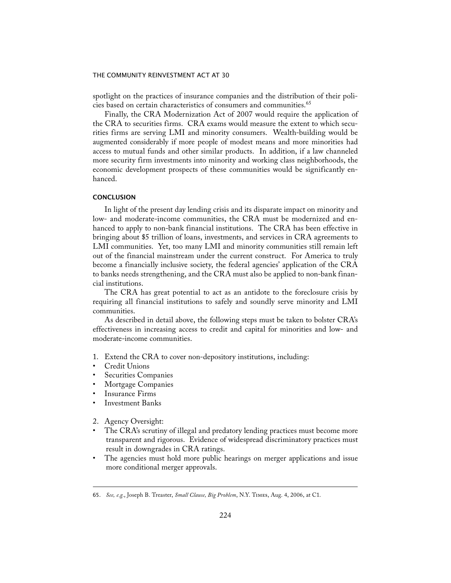spotlight on the practices of insurance companies and the distribution of their policies based on certain characteristics of consumers and communities.<sup>65</sup>

 Finally, the CRA Modernization Act of 2007 would require the application of the CRA to securities firms. CRA exams would measure the extent to which securities firms are serving LMI and minority consumers. Wealth-building would be augmented considerably if more people of modest means and more minorities had access to mutual funds and other similar products. In addition, if a law channeled more security firm investments into minority and working class neighborhoods, the economic development prospects of these communities would be significantly enhanced.

## **CONCLUSION**

 In light of the present day lending crisis and its disparate impact on minority and low- and moderate-income communities, the CRA must be modernized and enhanced to apply to non-bank financial institutions. The CRA has been effective in bringing about \$5 trillion of loans, investments, and services in CRA agreements to LMI communities. Yet, too many LMI and minority communities still remain left out of the financial mainstream under the current construct. For America to truly become a financially inclusive society, the federal agencies' application of the CRA to banks needs strengthening, and the CRA must also be applied to non-bank financial institutions.

 The CRA has great potential to act as an antidote to the foreclosure crisis by requiring all financial institutions to safely and soundly serve minority and LMI communities.

 As described in detail above, the following steps must be taken to bolster CRA's effectiveness in increasing access to credit and capital for minorities and low- and moderate-income communities.

- 1. Extend the CRA to cover non-depository institutions, including:
- Credit Unions
- Securities Companies
- Mortgage Companies
- Insurance Firms
- Investment Banks
- 2. Agency Oversight:
- The CRA's scrutiny of illegal and predatory lending practices must become more transparent and rigorous. Evidence of widespread discriminatory practices must result in downgrades in CRA ratings.
- The agencies must hold more public hearings on merger applications and issue more conditional merger approvals.

<sup>65.</sup> *See, e.g.*, Joseph B. Treaster, *Small Clause, Big Problem*, N.Y. Times, Aug. 4, 2006, at C1.